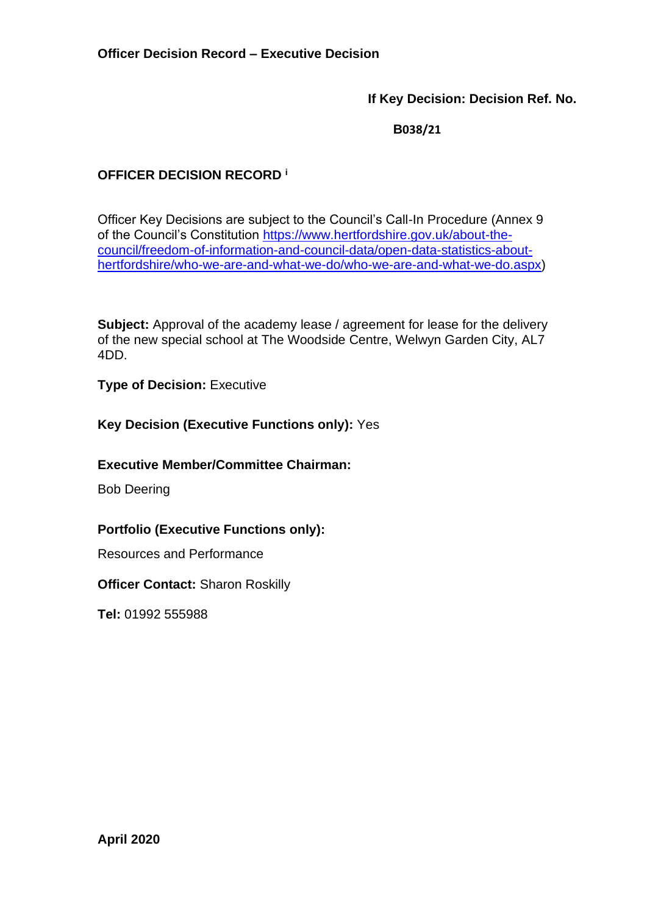**If Key Decision: Decision Ref. No.**

 **B038/21**

# **OFFICER DECISION RECORD <sup>i</sup>**

Officer Key Decisions are subject to the Council's Call-In Procedure (Annex 9 of the Council's Constitution [https://www.hertfordshire.gov.uk/about-the](https://www.hertfordshire.gov.uk/about-the-council/freedom-of-information-and-council-data/open-data-statistics-about-hertfordshire/who-we-are-and-what-we-do/who-we-are-and-what-we-do.aspx)[council/freedom-of-information-and-council-data/open-data-statistics-about](https://www.hertfordshire.gov.uk/about-the-council/freedom-of-information-and-council-data/open-data-statistics-about-hertfordshire/who-we-are-and-what-we-do/who-we-are-and-what-we-do.aspx)[hertfordshire/who-we-are-and-what-we-do/who-we-are-and-what-we-do.aspx\)](https://www.hertfordshire.gov.uk/about-the-council/freedom-of-information-and-council-data/open-data-statistics-about-hertfordshire/who-we-are-and-what-we-do/who-we-are-and-what-we-do.aspx)

**Subject:** Approval of the academy lease / agreement for lease for the delivery of the new special school at The Woodside Centre, Welwyn Garden City, AL7 4DD.

**Type of Decision: Executive** 

**Key Decision (Executive Functions only):** Yes

**Executive Member/Committee Chairman:**

Bob Deering

**Portfolio (Executive Functions only):**

Resources and Performance

**Officer Contact:** Sharon Roskilly

**Tel:** 01992 555988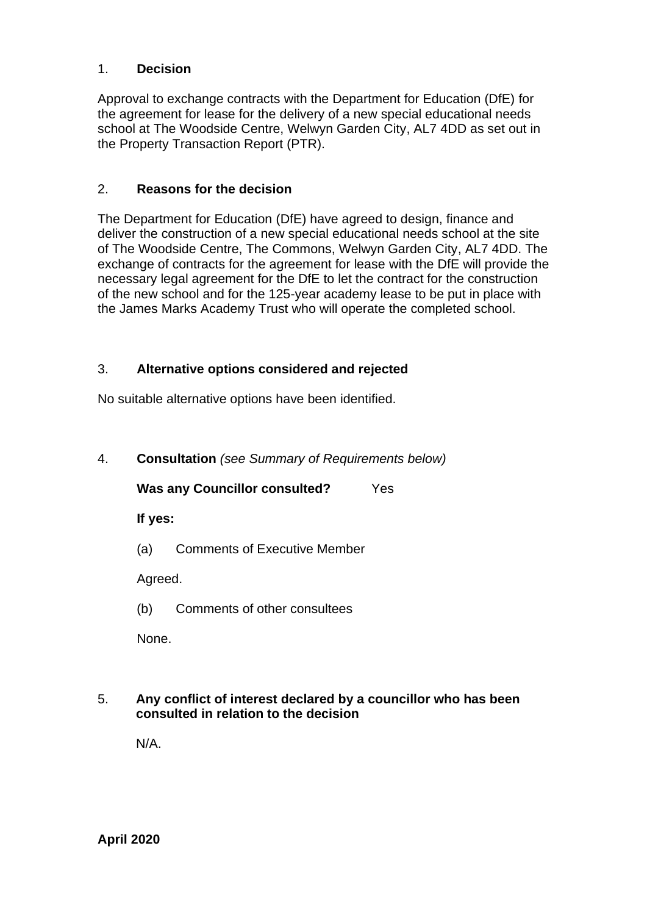### 1. **Decision**

Approval to exchange contracts with the Department for Education (DfE) for the agreement for lease for the delivery of a new special educational needs school at The Woodside Centre, Welwyn Garden City, AL7 4DD as set out in the Property Transaction Report (PTR).

### 2. **Reasons for the decision**

The Department for Education (DfE) have agreed to design, finance and deliver the construction of a new special educational needs school at the site of The Woodside Centre, The Commons, Welwyn Garden City, AL7 4DD. The exchange of contracts for the agreement for lease with the DfE will provide the necessary legal agreement for the DfE to let the contract for the construction of the new school and for the 125-year academy lease to be put in place with the James Marks Academy Trust who will operate the completed school.

#### 3. **Alternative options considered and rejected**

No suitable alternative options have been identified.

4. **Consultation** *(see Summary of Requirements below)*

**Was any Councillor consulted?** Yes

**If yes:**

(a) Comments of Executive Member

Agreed.

(b) Comments of other consultees

None.

5. **Any conflict of interest declared by a councillor who has been consulted in relation to the decision**

N/A.

**April 2020**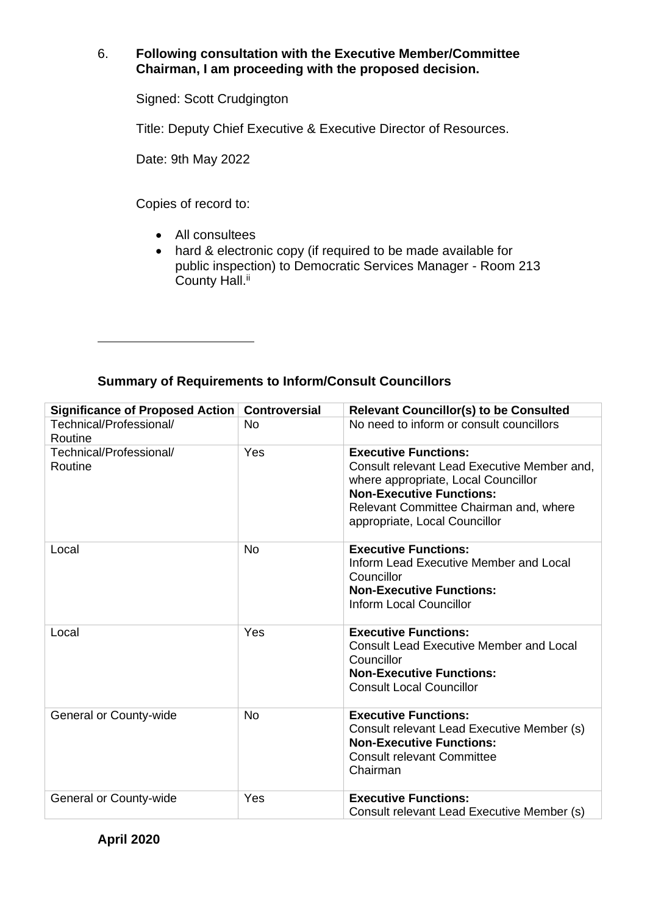### 6. **Following consultation with the Executive Member/Committee Chairman, I am proceeding with the proposed decision.**

Signed: Scott Crudgington

Title: Deputy Chief Executive & Executive Director of Resources.

Date: 9th May 2022

Copies of record to:

- All consultees
- hard & electronic copy (if required to be made available for public inspection) to Democratic Services Manager - Room 213 County Hall.<sup>ii</sup>

# **Summary of Requirements to Inform/Consult Councillors**

| <b>Significance of Proposed Action</b> | <b>Controversial</b> | <b>Relevant Councillor(s) to be Consulted</b>                                                                                                                                                                                   |
|----------------------------------------|----------------------|---------------------------------------------------------------------------------------------------------------------------------------------------------------------------------------------------------------------------------|
| Technical/Professional/<br>Routine     | <b>No</b>            | No need to inform or consult councillors                                                                                                                                                                                        |
| Technical/Professional/<br>Routine     | Yes                  | <b>Executive Functions:</b><br>Consult relevant Lead Executive Member and,<br>where appropriate, Local Councillor<br><b>Non-Executive Functions:</b><br>Relevant Committee Chairman and, where<br>appropriate, Local Councillor |
| Local                                  | <b>No</b>            | <b>Executive Functions:</b><br>Inform Lead Executive Member and Local<br>Councillor<br><b>Non-Executive Functions:</b><br><b>Inform Local Councillor</b>                                                                        |
| Local                                  | Yes                  | <b>Executive Functions:</b><br><b>Consult Lead Executive Member and Local</b><br>Councillor<br><b>Non-Executive Functions:</b><br><b>Consult Local Councillor</b>                                                               |
| General or County-wide                 | <b>No</b>            | <b>Executive Functions:</b><br>Consult relevant Lead Executive Member (s)<br><b>Non-Executive Functions:</b><br><b>Consult relevant Committee</b><br>Chairman                                                                   |
| General or County-wide                 | Yes                  | <b>Executive Functions:</b><br>Consult relevant Lead Executive Member (s)                                                                                                                                                       |